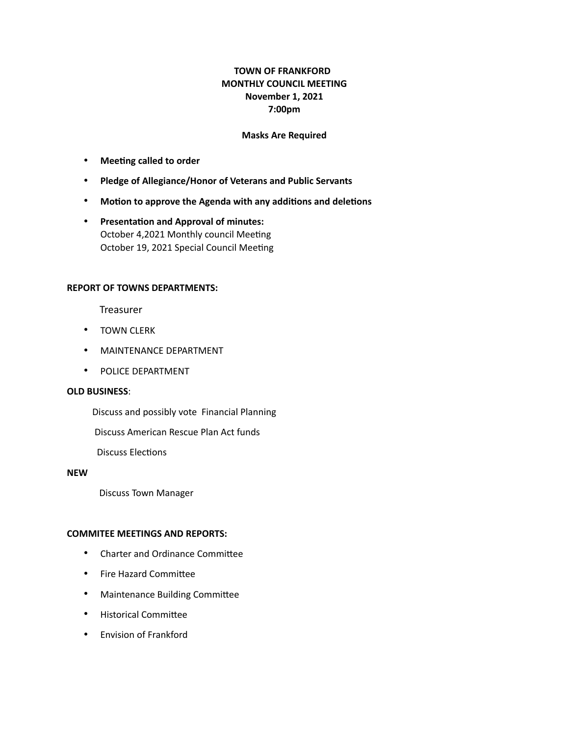# **TOWN OF FRANKFORD MONTHLY COUNCIL MEETING November 1, 2021 7:00pm**

## **Masks Are Required**

- **Meeting called to order**
- **Pledge of Allegiance/Honor of Veterans and Public Servants**
- **Motion to approve the Agenda with any additions and deletions**
- **Presentation and Approval of minutes:**  October 4,2021 Monthly council Meeting October 19, 2021 Special Council Meeting

#### **REPORT OF TOWNS DEPARTMENTS:**

Treasurer

- TOWN CLERK
- MAINTENANCE DEPARTMENT
- POLICE DEPARTMENT

# **OLD BUSINESS**:

Discuss and possibly vote Financial Planning

Discuss American Rescue Plan Act funds

Discuss Elections

#### **NEW**

Discuss Town Manager

## **COMMITEE MEETINGS AND REPORTS:**

- Charter and Ordinance Committee
- Fire Hazard Committee
- Maintenance Building Committee
- Historical Committee
- Envision of Frankford